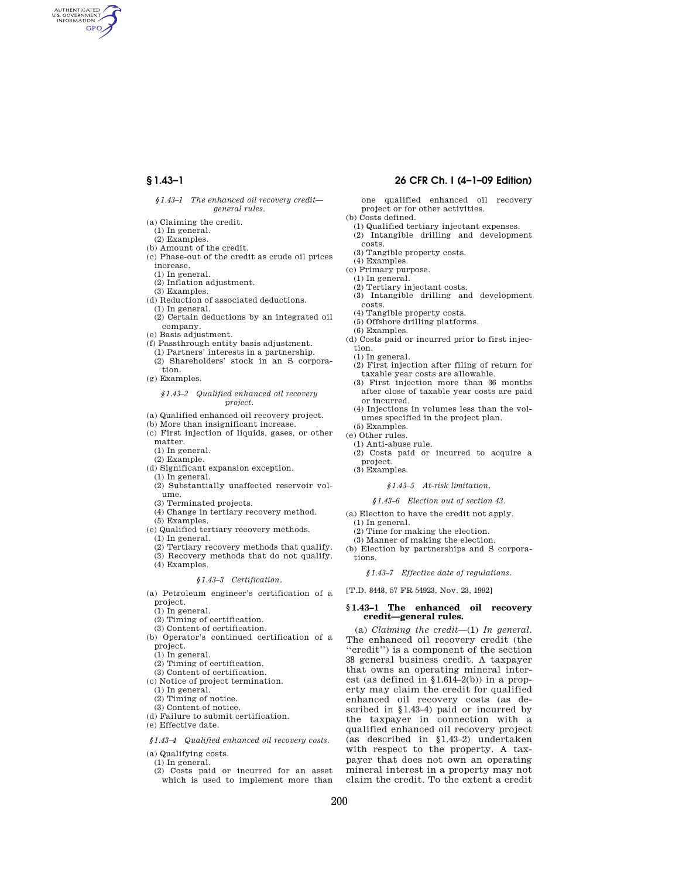AUTHENTICATED<br>U.S. GOVERNMENT<br>INFORMATION **GPO** 

### *§1.43–1 The enhanced oil recovery credit general rules.*

(a) Claiming the credit.

- (1) In general.
- (2) Examples.
- (b) Amount of the credit.
- (c) Phase-out of the credit as crude oil prices increase.
- (1) In general.
- (2) Inflation adjustment.
- (3) Examples.
- (d) Reduction of associated deductions.
- (1) In general. (2) Certain deductions by an integrated oil
- company.
- (e) Basis adjustment.
- (f) Passthrough entity basis adjustment. (1) Partners' interests in a partnership.
- (2) Shareholders' stock in an S corporation.
- (g) Examples.

## *§1.43–2 Qualified enhanced oil recovery project.*

- (a) Qualified enhanced oil recovery project.
- (b) More than insignificant increase.
- (c) First injection of liquids, gases, or other
- matter.
- (1) In general.
- (2) Example.
- (d) Significant expansion exception.
- (1) In general.
- (2) Substantially unaffected reservoir volume.
- (3) Terminated projects.
- (4) Change in tertiary recovery method.
- (5) Examples.
- (e) Qualified tertiary recovery methods.
- (1) In general.
- (2) Tertiary recovery methods that qualify.
- (3) Recovery methods that do not qualify. (4) Examples.

## *§1.43–3 Certification.*

(a) Petroleum engineer's certification of a project.

- (1) In general.
- (2) Timing of certification.
- (3) Content of certification.
- (b) Operator's continued certification of a project.
- (1) In general.
- (2) Timing of certification.
- (3) Content of certification.
- (c) Notice of project termination.
	- (1) In general.
	- (2) Timing of notice.
- (3) Content of notice.
- (d) Failure to submit certification.
- (e) Effective date.

## *§1.43–4 Qualified enhanced oil recovery costs.*

(a) Qualifying costs.

(1) In general.

(2) Costs paid or incurred for an asset which is used to implement more than

## **§ 1.43–1 26 CFR Ch. I (4–1–09 Edition)**

one qualified enhanced oil recovery project or for other activities.

- (b) Costs defined.
- (1) Qualified tertiary injectant expenses. (2) Intangible drilling and development
- costs.
- (3) Tangible property costs.
- (4) Examples.
- (c) Primary purpose.
- (1) In general.
- (2) Tertiary injectant costs.
- (3) Intangible drilling and development costs.
- (4) Tangible property costs.
- (5) Offshore drilling platforms.
- (6) Examples.
- (d) Costs paid or incurred prior to first injection.
	- (1) In general.
	- (2) First injection after filing of return for taxable year costs are allowable.
- (3) First injection more than 36 months after close of taxable year costs are paid or incurred.
- (4) Injections in volumes less than the volumes specified in the project plan.
- (5) Examples.
- (e) Other rules. (1) Anti-abuse rule.
- (2) Costs paid or incurred to acquire a project.
- (3) Examples.

#### *§1.43–5 At-risk limitation.*

## *§1.43–6 Election out of section 43.*

- (a) Election to have the credit not apply. (1) In general.
- (2) Time for making the election.
- (3) Manner of making the election.
- (b) Election by partnerships and S corporations.

*§1.43–7 Effective date of regulations.* 

[T.D. 8448, 57 FR 54923, Nov. 23, 1992]

## **§ 1.43–1 The enhanced oil recovery credit—general rules.**

(a) *Claiming the credit*—(1) *In general.*  The enhanced oil recovery credit (the ''credit'') is a component of the section 38 general business credit. A taxpayer that owns an operating mineral interest (as defined in  $$1.614-2(b)$ ) in a property may claim the credit for qualified enhanced oil recovery costs (as described in §1.43–4) paid or incurred by the taxpayer in connection with a qualified enhanced oil recovery project (as described in §1.43–2) undertaken with respect to the property. A taxpayer that does not own an operating mineral interest in a property may not claim the credit. To the extent a credit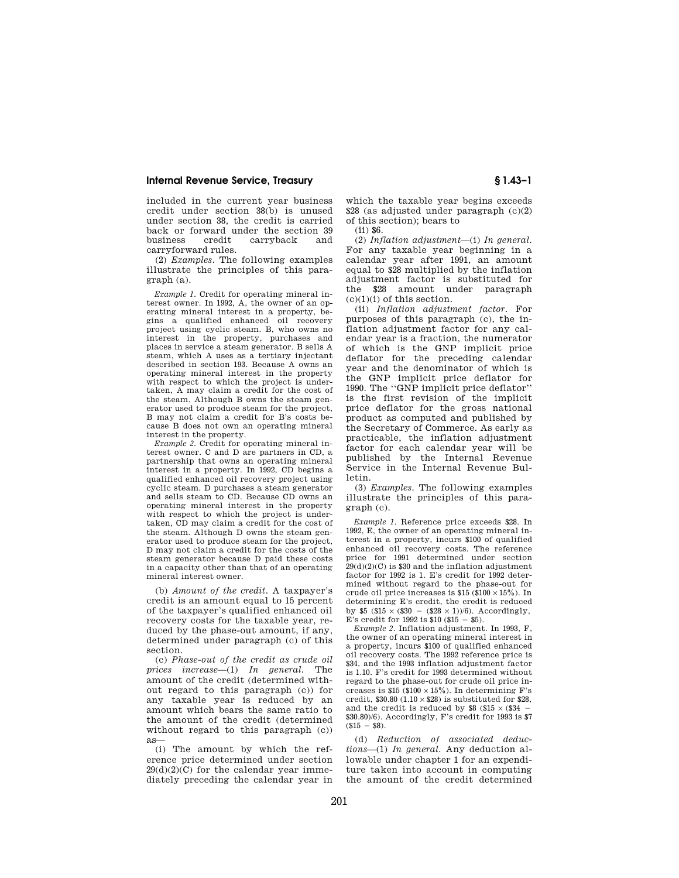## **Internal Revenue Service, Treasury § 1.43–1**

included in the current year business credit under section 38(b) is unused under section 38, the credit is carried back or forward under the section 39 business credit carryback and carryforward rules.

(2) *Examples.* The following examples illustrate the principles of this paragraph (a).

*Example 1.* Credit for operating mineral interest owner. In 1992, A, the owner of an operating mineral interest in a property, begins a qualified enhanced oil recovery project using cyclic steam. B, who owns no interest in the property, purchases and places in service a steam generator. B sells A steam, which A uses as a tertiary injectant described in section 193. Because A owns an operating mineral interest in the property with respect to which the project is undertaken, A may claim a credit for the cost of the steam. Although B owns the steam generator used to produce steam for the project, B may not claim a credit for B's costs because B does not own an operating mineral interest in the property.

*Example 2.* Credit for operating mineral interest owner. C and D are partners in CD, a partnership that owns an operating mineral interest in a property. In 1992, CD begins a qualified enhanced oil recovery project using cyclic steam. D purchases a steam generator and sells steam to CD. Because CD owns an operating mineral interest in the property with respect to which the project is undertaken, CD may claim a credit for the cost of the steam. Although D owns the steam generator used to produce steam for the project, D may not claim a credit for the costs of the steam generator because D paid these costs in a capacity other than that of an operating mineral interest owner.

(b) *Amount of the credit.* A taxpayer's credit is an amount equal to 15 percent of the taxpayer's qualified enhanced oil recovery costs for the taxable year, reduced by the phase-out amount, if any, determined under paragraph (c) of this section.

(c) *Phase-out of the credit as crude oil prices increase*—(1) *In general.* The amount of the credit (determined without regard to this paragraph (c)) for any taxable year is reduced by an amount which bears the same ratio to the amount of the credit (determined without regard to this paragraph (c)) as—

(i) The amount by which the reference price determined under section  $29(d)(2)(C)$  for the calendar year immediately preceding the calendar year in

which the taxable year begins exceeds \$28 (as adjusted under paragraph (c)(2) of this section); bears to

(ii) \$6.

(2) *Inflation adjustment*—(i) *In general.*  For any taxable year beginning in a calendar year after 1991, an amount equal to \$28 multiplied by the inflation adjustment factor is substituted for the \$28 amount under paragraph  $(c)(1)(i)$  of this section.

(ii) *Inflation adjustment factor.* For purposes of this paragraph (c), the inflation adjustment factor for any calendar year is a fraction, the numerator of which is the GNP implicit price deflator for the preceding calendar year and the denominator of which is the GNP implicit price deflator for 1990. The ''GNP implicit price deflator'' is the first revision of the implicit price deflator for the gross national product as computed and published by the Secretary of Commerce. As early as practicable, the inflation adjustment factor for each calendar year will be published by the Internal Revenue Service in the Internal Revenue Bulletin.

(3) *Examples.* The following examples illustrate the principles of this paragraph (c).

*Example 1.* Reference price exceeds \$28. In 1992, E, the owner of an operating mineral interest in a property, incurs \$100 of qualified enhanced oil recovery costs. The reference price for 1991 determined under section  $29(d)(2)(C)$  is \$30 and the inflation adjustment factor for 1992 is 1. E's credit for 1992 determined without regard to the phase-out for crude oil price increases is  $$15 ($100 \times 15\%)$ . In determining E's credit, the credit is reduced by \$5 (\$15  $\times$  (\$30 – (\$28  $\times$  1))/6). Accordingly, E's credit for 1992 is  $$10$  (\$15 - \$5).

*Example 2.* Inflation adjustment. In 1993, F, the owner of an operating mineral interest in a property, incurs \$100 of qualified enhanced oil recovery costs. The 1992 reference price is \$34, and the 1993 inflation adjustment factor is 1.10. F's credit for 1993 determined without regard to the phase-out for crude oil price increases is  $$15$  ( $$100 \times 15\%$ ). In determining F's credit,  $$30.80$  (1.10  $\times$  \$28) is substituted for \$28, and the credit is reduced by  $\$8$  ( $\$15\times(\$34$   $\textrm{--}$ \$30.80)/6). Accordingly, F's credit for 1993 is \$7  $(S15 - S8)$ .

(d) *Reduction of associated deductions*—(1) *In general.* Any deduction allowable under chapter 1 for an expenditure taken into account in computing the amount of the credit determined